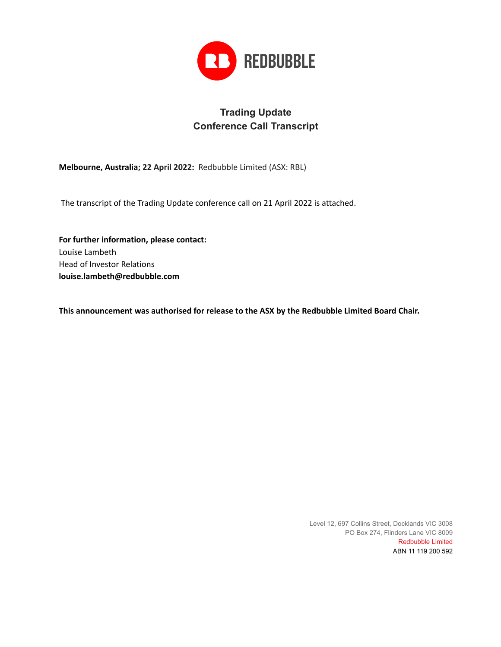

## **Trading Update Conference Call Transcript**

**Melbourne, Australia; 22 April 2022:** Redbubble Limited (ASX: RBL)

The transcript of the Trading Update conference call on 21 April 2022 is attached.

**For further information, please contact:** Louise Lambeth Head of Investor Relations **louise.lambeth@redbubble.com**

**This announcement was authorised for release to the ASX by the Redbubble Limited Board Chair.**

Level 12, 697 Collins Street, Docklands VIC 3008 PO Box 274, Flinders Lane VIC 8009 Redbubble Limited ABN 11 119 200 592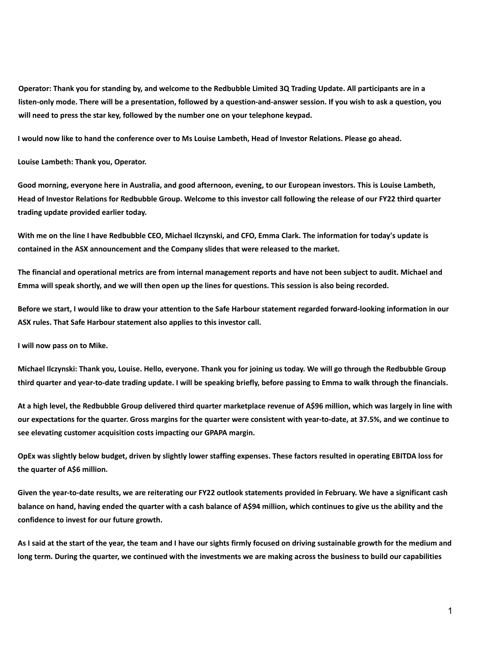Operator: Thank you for standing by, and welcome to the Redbubble Limited 3Q Trading Update. All participants are in a listen-only mode. There will be a presentation, followed by a question-and-answer session. If you wish to ask a question, you **will need to press the star key, followed by the number one on your telephone keypad.**

I would now like to hand the conference over to Ms Louise Lambeth, Head of Investor Relations. Please go ahead.

**Louise Lambeth: Thank you, Operator.**

Good morning, everyone here in Australia, and good afternoon, evening, to our European investors. This is Louise Lambeth, Head of Investor Relations for Redbubble Group. Welcome to this investor call following the release of our FY22 third quarter **trading update provided earlier today.**

With me on the line I have Redbubble CEO, Michael Ilczynski, and CFO, Emma Clark. The information for today's update is **contained in the ASX announcement and the Company slides that were released to the market.**

The financial and operational metrics are from internal management reports and have not been subject to audit. Michael and Emma will speak shortly, and we will then open up the lines for questions. This session is also being recorded.

Before we start, I would like to draw your attention to the Safe Harbour statement regarded forward-looking information in our **ASX rules. That Safe Harbour statement also applies to this investor call.**

**I will now pass on to Mike.**

Michael Ilczynski: Thank you, Louise. Hello, everyone. Thank you for joining us today. We will go through the Redbubble Group third quarter and year-to-date trading update. I will be speaking briefly, before passing to Emma to walk through the financials.

At a high level, the Redbubble Group delivered third quarter marketplace revenue of A\$96 million, which was largely in line with our expectations for the quarter. Gross margins for the quarter were consistent with year-to-date, at 37.5%, and we continue to **see elevating customer acquisition costs impacting our GPAPA margin.**

OpEx was slightly below budget, driven by slightly lower staffing expenses. These factors resulted in operating EBITDA loss for **the quarter of A\$6 million.**

Given the year-to-date results, we are reiterating our FY22 outlook statements provided in February. We have a significant cash balance on hand, having ended the quarter with a cash balance of A\$94 million, which continues to give us the ability and the **confidence to invest for our future growth.**

As I said at the start of the year, the team and I have our sights firmly focused on driving sustainable growth for the medium and long term. During the quarter, we continued with the investments we are making across the business to build our capabilities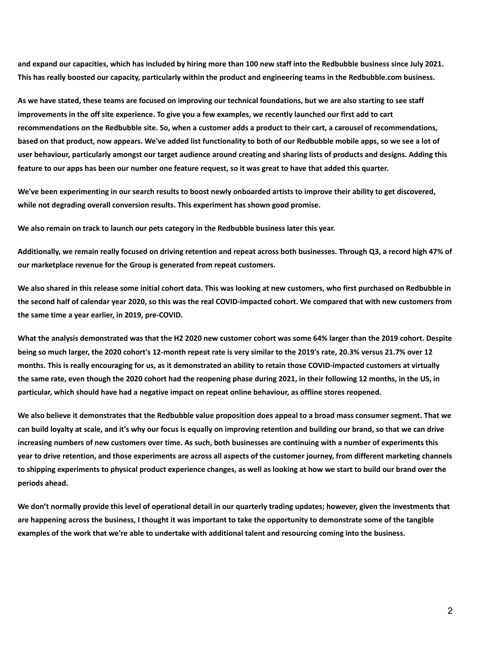and expand our capacities, which has included by hiring more than 100 new staff into the Redbubble business since July 2021. This has really boosted our capacity, particularly within the product and engineering teams in the Redbubble.com business.

As we have stated, these teams are focused on improving our technical foundations, but we are also starting to see staff improvements in the off site experience. To give you a few examples, we recently launched our first add to cart recommendations on the Redbubble site. So, when a customer adds a product to their cart, a carousel of recommendations, based on that product, now appears. We've added list functionality to both of our Redbubble mobile apps, so we see a lot of user behaviour, particularly amongst our target audience around creating and sharing lists of products and designs. Adding this feature to our apps has been our number one feature request, so it was great to have that added this quarter.

We've been experimenting in our search results to boost newly onboarded artists to improve their ability to get discovered, **while not degrading overall conversion results. This experiment has shown good promise.**

**We also remain on track to launch our pets category in the Redbubble business later this year.**

Additionally, we remain really focused on driving retention and repeat across both businesses. Through Q3, a record high 47% of **our marketplace revenue for the Group is generated from repeat customers.**

We also shared in this release some initial cohort data. This was looking at new customers, who first purchased on Redbubble in the second half of calendar year 2020, so this was the real COVID-impacted cohort. We compared that with new customers from **the same time a year earlier, in 2019, pre-COVID.**

What the analysis demonstrated was that the H2 2020 new customer cohort was some 64% larger than the 2019 cohort. Despite being so much larger, the 2020 cohort's 12-month repeat rate is very similar to the 2019's rate, 20.3% versus 21.7% over 12 months. This is really encouraging for us, as it demonstrated an ability to retain those COVID-impacted customers at virtually the same rate, even though the 2020 cohort had the reopening phase during 2021, in their following 12 months, in the US, in **particular, which should have had a negative impact on repeat online behaviour, as offline stores reopened.**

We also believe it demonstrates that the Redbubble value proposition does appeal to a broad mass consumer segment. That we can build loyalty at scale, and it's why our focus is equally on improving retention and building our brand, so that we can drive increasing numbers of new customers over time. As such, both businesses are continuing with a number of experiments this year to drive retention, and those experiments are across all aspects of the customer journey, from different marketing channels to shipping experiments to physical product experience changes, as well as looking at how we start to build our brand over the **periods ahead.**

We don't normally provide this level of operational detail in our quarterly trading updates; however, given the investments that are happening across the business, I thought it was important to take the opportunity to demonstrate some of the tangible examples of the work that we're able to undertake with additional talent and resourcing coming into the business.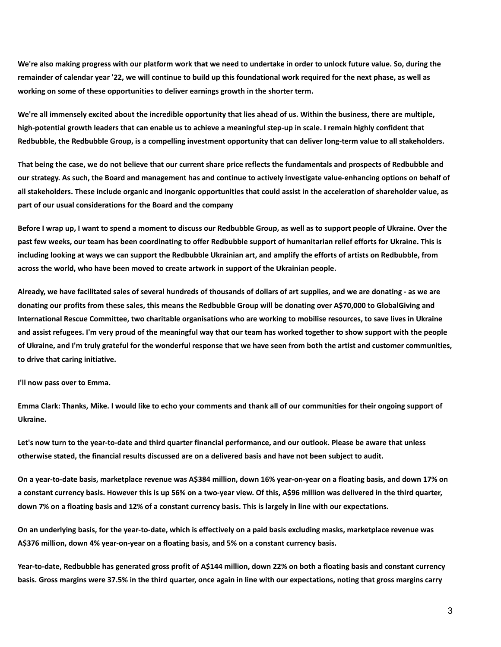We're also making progress with our platform work that we need to undertake in order to unlock future value. So, during the remainder of calendar year '22, we will continue to build up this foundational work required for the next phase, as well as **working on some of these opportunities to deliver earnings growth in the shorter term.**

We're all immensely excited about the incredible opportunity that lies ahead of us. Within the business, there are multiple, high-potential growth leaders that can enable us to achieve a meaningful step-up in scale. I remain highly confident that Redbubble, the Redbubble Group, is a compelling investment opportunity that can deliver long-term value to all stakeholders.

That being the case, we do not believe that our current share price reflects the fundamentals and prospects of Redbubble and our strategy. As such, the Board and management has and continue to actively investigate value-enhancing options on behalf of all stakeholders. These include organic and inorganic opportunities that could assist in the acceleration of shareholder value, as **part of our usual considerations for the Board and the company**

Before I wrap up, I want to spend a moment to discuss our Redbubble Group, as well as to support people of Ukraine. Over the past few weeks, our team has been coordinating to offer Redbubble support of humanitarian relief efforts for Ukraine. This is including looking at ways we can support the Redbubble Ukrainian art, and amplify the efforts of artists on Redbubble, from **across the world, who have been moved to create artwork in support of the Ukrainian people.**

Already, we have facilitated sales of several hundreds of thousands of dollars of art supplies, and we are donating - as we are donating our profits from these sales, this means the Redbubble Group will be donating over A\$70,000 to GlobalGiving and International Rescue Committee, two charitable organisations who are working to mobilise resources, to save lives in Ukraine and assist refugees. I'm very proud of the meaningful way that our team has worked together to show support with the people of Ukraine, and I'm truly grateful for the wonderful response that we have seen from both the artist and customer communities, **to drive that caring initiative.**

**I'll now pass over to Emma.**

Emma Clark: Thanks, Mike. I would like to echo your comments and thank all of our communities for their ongoing support of **Ukraine.**

Let's now turn to the year-to-date and third quarter financial performance, and our outlook. Please be aware that unless otherwise stated, the financial results discussed are on a delivered basis and have not been subject to audit.

On a year-to-date basis, marketplace revenue was A\$384 million, down 16% year-on-year on a floating basis, and down 17% on a constant currency basis. However this is up 56% on a two-year view. Of this, A\$96 million was delivered in the third quarter, down 7% on a floating basis and 12% of a constant currency basis. This is largely in line with our expectations.

On an underlying basis, for the year-to-date, which is effectively on a paid basis excluding masks, marketplace revenue was **A\$376 million, down 4% year-on-year on a floating basis, and 5% on a constant currency basis.**

Year-to-date, Redbubble has generated gross profit of A\$144 million, down 22% on both a floating basis and constant currency basis. Gross margins were 37.5% in the third quarter, once again in line with our expectations, noting that gross margins carry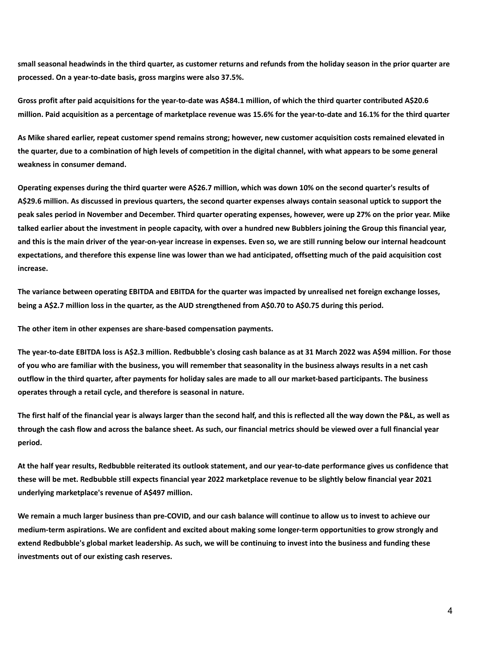small seasonal headwinds in the third quarter, as customer returns and refunds from the holiday season in the prior quarter are **processed. On a year-to-date basis, gross margins were also 37.5%.**

Gross profit after paid acquisitions for the year-to-date was A\$84.1 million, of which the third quarter contributed A\$20.6 million. Paid acquisition as a percentage of marketplace revenue was 15.6% for the year-to-date and 16.1% for the third quarter

As Mike shared earlier, repeat customer spend remains strong; however, new customer acquisition costs remained elevated in the quarter, due to a combination of high levels of competition in the digital channel, with what appears to be some general **weakness in consumer demand.**

Operating expenses during the third quarter were A\$26.7 million, which was down 10% on the second quarter's results of A\$29.6 million. As discussed in previous quarters, the second quarter expenses always contain seasonal uptick to support the peak sales period in November and December. Third quarter operating expenses, however, were up 27% on the prior year. Mike talked earlier about the investment in people capacity, with over a hundred new Bubblers joining the Group this financial year, and this is the main driver of the year-on-year increase in expenses. Even so, we are still running below our internal headcount expectations, and therefore this expense line was lower than we had anticipated, offsetting much of the paid acquisition cost **increase.**

The variance between operating EBITDA and EBITDA for the quarter was impacted by unrealised net foreign exchange losses, being a A\$2.7 million loss in the quarter, as the AUD strengthened from A\$0.70 to A\$0.75 during this period.

**The other item in other expenses are share-based compensation payments.**

The year-to-date EBITDA loss is A\$2.3 million. Redbubble's closing cash balance as at 31 March 2022 was A\$94 million. For those of you who are familiar with the business, you will remember that seasonality in the business always results in a net cash outflow in the third quarter, after payments for holiday sales are made to all our market-based participants. The business **operates through a retail cycle, and therefore is seasonal in nature.**

The first half of the financial year is always larger than the second half, and this is reflected all the way down the P&L, as well as through the cash flow and across the balance sheet. As such, our financial metrics should be viewed over a full financial year **period.**

At the half year results, Redbubble reiterated its outlook statement, and our year-to-date performance gives us confidence that these will be met. Redbubble still expects financial year 2022 marketplace revenue to be slightly below financial year 2021 **underlying marketplace's revenue of A\$497 million.**

We remain a much larger business than pre-COVID, and our cash balance will continue to allow us to invest to achieve our medium-term aspirations. We are confident and excited about making some longer-term opportunities to grow strongly and extend Redbubble's global market leadership. As such, we will be continuing to invest into the business and funding these **investments out of our existing cash reserves.**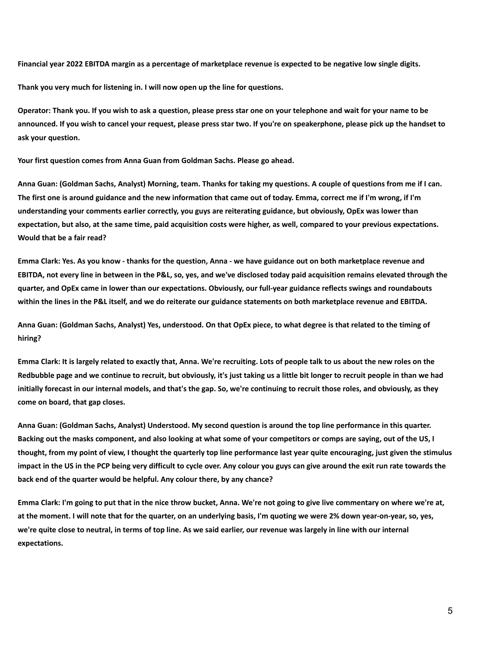Financial year 2022 EBITDA margin as a percentage of marketplace revenue is expected to be negative low single digits.

**Thank you very much for listening in. I will now open up the line for questions.**

Operator: Thank you. If you wish to ask a question, please press star one on your telephone and wait for your name to be announced. If you wish to cancel your request, please press star two. If you're on speakerphone, please pick up the handset to **ask your question.**

**Your first question comes from Anna Guan from Goldman Sachs. Please go ahead.**

Anna Guan: (Goldman Sachs, Analyst) Morning, team. Thanks for taking my questions. A couple of questions from me if I can. The first one is around guidance and the new information that came out of today. Emma, correct me if I'm wrong, if I'm understanding your comments earlier correctly, you guys are reiterating guidance, but obviously, OpEx was lower than expectation, but also, at the same time, paid acquisition costs were higher, as well, compared to your previous expectations. **Would that be a fair read?**

Emma Clark: Yes. As you know - thanks for the question, Anna - we have guidance out on both marketplace revenue and EBITDA, not every line in between in the P&L, so, yes, and we've disclosed today paid acquisition remains elevated through the quarter, and OpEx came in lower than our expectations. Obviously, our full-year guidance reflects swings and roundabouts within the lines in the P&L itself, and we do reiterate our guidance statements on both marketplace revenue and EBITDA.

Anna Guan: (Goldman Sachs, Analyst) Yes, understood. On that OpEx piece, to what degree is that related to the timing of **hiring?**

Emma Clark: It is largely related to exactly that, Anna. We're recruiting. Lots of people talk to us about the new roles on the Redbubble page and we continue to recruit, but obviously, it's just taking us a little bit longer to recruit people in than we had initially forecast in our internal models, and that's the gap. So, we're continuing to recruit those roles, and obviously, as they **come on board, that gap closes.**

Anna Guan: (Goldman Sachs, Analyst) Understood. My second question is around the top line performance in this quarter. Backing out the masks component, and also looking at what some of your competitors or comps are saying, out of the US, I thought, from my point of view, I thought the quarterly top line performance last year quite encouraging, just given the stimulus impact in the US in the PCP being very difficult to cycle over. Any colour you guys can give around the exit run rate towards the **back end of the quarter would be helpful. Any colour there, by any chance?**

Emma Clark: I'm going to put that in the nice throw bucket, Anna. We're not going to give live commentary on where we're at, at the moment. I will note that for the quarter, on an underlying basis, I'm quoting we were 2% down year-on-year, so, yes, we're quite close to neutral, in terms of top line. As we said earlier, our revenue was largely in line with our internal **expectations.**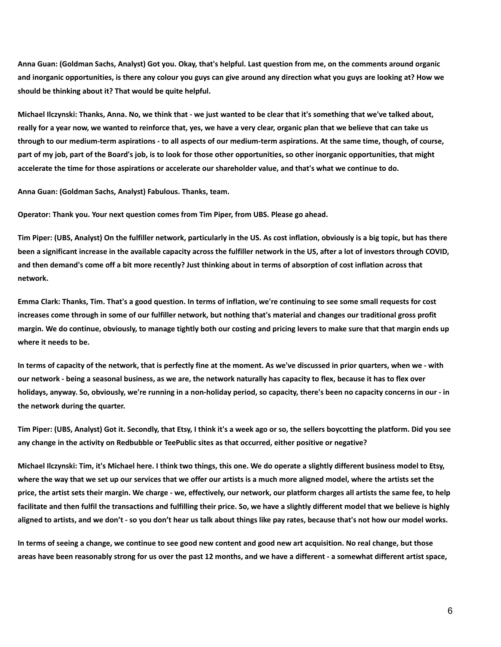Anna Guan: (Goldman Sachs, Analyst) Got you. Okay, that's helpful. Last question from me, on the comments around organic and inorganic opportunities, is there any colour you guys can give around any direction what you guys are looking at? How we **should be thinking about it? That would be quite helpful.**

Michael Ilczynski: Thanks, Anna. No, we think that - we just wanted to be clear that it's something that we've talked about, really for a year now, we wanted to reinforce that, yes, we have a very clear, organic plan that we believe that can take us through to our medium-term aspirations - to all aspects of our medium-term aspirations. At the same time, though, of course, part of my job, part of the Board's job, is to look for those other opportunities, so other inorganic opportunities, that might accelerate the time for those aspirations or accelerate our shareholder value, and that's what we continue to do.

**Anna Guan: (Goldman Sachs, Analyst) Fabulous. Thanks, team.**

**Operator: Thank you. Your next question comes from Tim Piper, from UBS. Please go ahead.**

Tim Piper: (UBS, Analyst) On the fulfiller network, particularly in the US. As cost inflation, obviously is a big topic, but has there been a significant increase in the available capacity across the fulfiller network in the US, after a lot of investors through COVID, and then demand's come off a bit more recently? Just thinking about in terms of absorption of cost inflation across that **network.**

Emma Clark: Thanks, Tim. That's a good question. In terms of inflation, we're continuing to see some small requests for cost increases come through in some of our fulfiller network, but nothing that's material and changes our traditional gross profit margin. We do continue, obviously, to manage tightly both our costing and pricing levers to make sure that that margin ends up **where it needs to be.**

In terms of capacity of the network, that is perfectly fine at the moment. As we've discussed in prior quarters, when we - with our network - being a seasonal business, as we are, the network naturally has capacity to flex, because it has to flex over holidays, anyway. So, obviously, we're running in a non-holiday period, so capacity, there's been no capacity concerns in our - in **the network during the quarter.**

Tim Piper: (UBS, Analyst) Got it. Secondly, that Etsy, I think it's a week ago or so, the sellers boycotting the platform. Did you see **any change in the activity on Redbubble or TeePublic sites as that occurred, either positive or negative?**

Michael Ilczynski: Tim, it's Michael here. I think two things, this one. We do operate a slightly different business model to Etsy, where the way that we set up our services that we offer our artists is a much more aligned model, where the artists set the price, the artist sets their margin. We charge - we, effectively, our network, our platform charges all artists the same fee, to help facilitate and then fulfil the transactions and fulfilling their price. So, we have a slightly different model that we believe is highly aligned to artists, and we don't - so you don't hear us talk about things like pay rates, because that's not how our model works.

In terms of seeing a change, we continue to see good new content and good new art acquisition. No real change, but those areas have been reasonably strong for us over the past 12 months, and we have a different - a somewhat different artist space,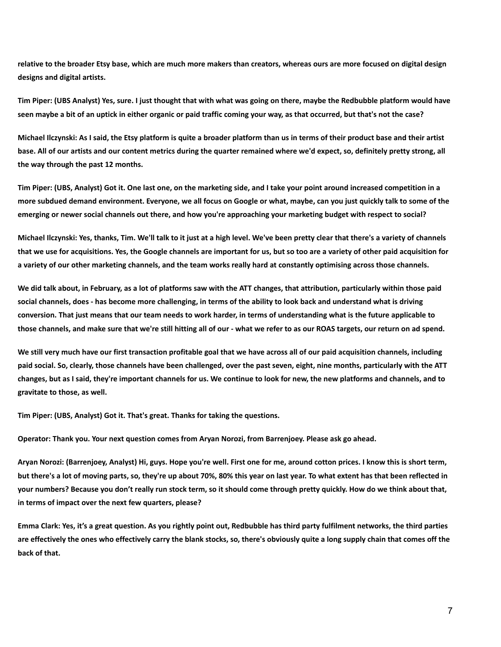relative to the broader Etsy base, which are much more makers than creators, whereas ours are more focused on digital design **designs and digital artists.**

Tim Piper: (UBS Analyst) Yes, sure. I just thought that with what was going on there, maybe the Redbubble platform would have seen maybe a bit of an uptick in either organic or paid traffic coming your way, as that occurred, but that's not the case?

Michael Ilczynski: As I said, the Etsy platform is quite a broader platform than us in terms of their product base and their artist base. All of our artists and our content metrics during the quarter remained where we'd expect, so, definitely pretty strong, all **the way through the past 12 months.**

Tim Piper: (UBS, Analyst) Got it. One last one, on the marketing side, and I take your point around increased competition in a more subdued demand environment. Everyone, we all focus on Google or what, maybe, can you just quickly talk to some of the emerging or newer social channels out there, and how you're approaching your marketing budget with respect to social?

Michael Ilczynski: Yes, thanks, Tim. We'll talk to it just at a high level. We've been pretty clear that there's a variety of channels that we use for acquisitions. Yes, the Google channels are important for us, but so too are a variety of other paid acquisition for a variety of our other marketing channels, and the team works really hard at constantly optimising across those channels.

We did talk about, in February, as a lot of platforms saw with the ATT changes, that attribution, particularly within those paid social channels, does - has become more challenging, in terms of the ability to look back and understand what is driving conversion. That just means that our team needs to work harder, in terms of understanding what is the future applicable to those channels, and make sure that we're still hitting all of our - what we refer to as our ROAS targets, our return on ad spend.

We still very much have our first transaction profitable goal that we have across all of our paid acquisition channels, including paid social. So, clearly, those channels have been challenged, over the past seven, eight, nine months, particularly with the ATT changes, but as I said, they're important channels for us. We continue to look for new, the new platforms and channels, and to **gravitate to those, as well.**

**Tim Piper: (UBS, Analyst) Got it. That's great. Thanks for taking the questions.**

**Operator: Thank you. Your next question comes from Aryan Norozi, from Barrenjoey. Please ask go ahead.**

Aryan Norozi: (Barrenjoey, Analyst) Hi, guys. Hope you're well. First one for me, around cotton prices. I know this is short term, but there's a lot of moving parts, so, they're up about 70%, 80% this year on last year. To what extent has that been reflected in your numbers? Because you don't really run stock term, so it should come through pretty quickly. How do we think about that, **in terms of impact over the next few quarters, please?**

Emma Clark: Yes, it's a great question. As you rightly point out, Redbubble has third party fulfilment networks, the third parties are effectively the ones who effectively carry the blank stocks, so, there's obviously quite a long supply chain that comes off the **back of that.**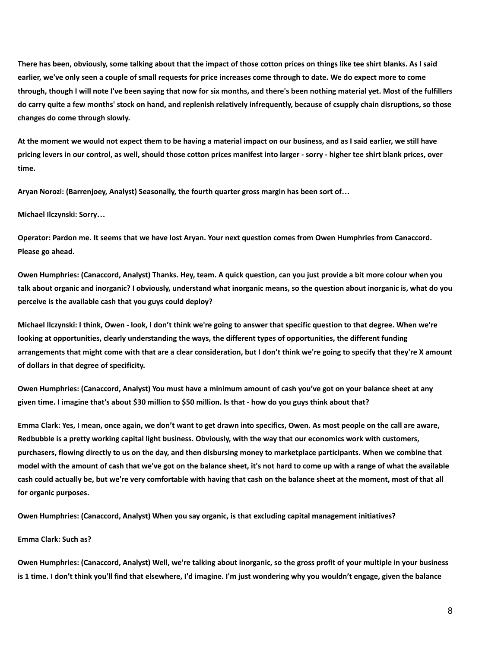There has been, obviously, some talking about that the impact of those cotton prices on things like tee shirt blanks. As I said earlier, we've only seen a couple of small requests for price increases come through to date. We do expect more to come through, though I will note I've been saying that now for six months, and there's been nothing material yet. Most of the fulfillers do carry quite a few months' stock on hand, and replenish relatively infrequently, because of csupply chain disruptions, so those **changes do come through slowly.**

At the moment we would not expect them to be having a material impact on our business, and as I said earlier, we still have pricing levers in our control, as well, should those cotton prices manifest into larger - sorry - higher tee shirt blank prices, over **time.**

**Aryan Norozi: (Barrenjoey, Analyst) Seasonally, the fourth quarter gross margin has been sort of…**

## **Michael Ilczynski: Sorry…**

Operator: Pardon me. It seems that we have lost Aryan. Your next question comes from Owen Humphries from Canaccord. **Please go ahead.**

Owen Humphries: (Canaccord, Analyst) Thanks. Hey, team. A quick question, can you just provide a bit more colour when you talk about organic and inorganic? I obviously, understand what inorganic means, so the question about inorganic is, what do you **perceive is the available cash that you guys could deploy?**

Michael Ilczynski: I think, Owen - look, I don't think we're going to answer that specific question to that degree. When we're **looking at opportunities, clearly understanding the ways, the different types of opportunities, the different funding** arrangements that might come with that are a clear consideration, but I don't think we're going to specify that they're X amount **of dollars in that degree of specificity.**

Owen Humphries: (Canaccord, Analyst) You must have a minimum amount of cash you've got on your balance sheet at any given time. I imagine that's about \$30 million to \$50 million. Is that - how do you guys think about that?

Emma Clark: Yes, I mean, once again, we don't want to get drawn into specifics, Owen. As most people on the call are aware, Redbubble is a pretty working capital light business. Obviously, with the way that our economics work with customers, purchasers, flowing directly to us on the day, and then disbursing money to marketplace participants. When we combine that model with the amount of cash that we've got on the balance sheet, it's not hard to come up with a range of what the available cash could actually be, but we're very comfortable with having that cash on the balance sheet at the moment, most of that all **for organic purposes.**

**Owen Humphries: (Canaccord, Analyst) When you say organic, is that excluding capital management initiatives?**

## **Emma Clark: Such as?**

Owen Humphries: (Canaccord, Analyst) Well, we're talking about inorganic, so the gross profit of your multiple in your business is 1 time. I don't think you'll find that elsewhere, I'd imagine. I'm just wondering why you wouldn't engage, given the balance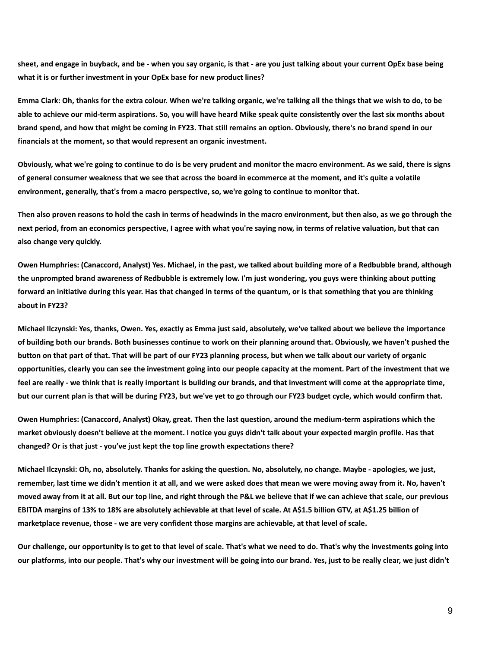sheet, and engage in buyback, and be - when you say organic, is that - are you just talking about your current OpEx base being **what it is or further investment in your OpEx base for new product lines?**

Emma Clark: Oh, thanks for the extra colour. When we're talking organic, we're talking all the things that we wish to do, to be able to achieve our mid-term aspirations. So, you will have heard Mike speak quite consistently over the last six months about brand spend, and how that might be coming in FY23. That still remains an option. Obviously, there's no brand spend in our **financials at the moment, so that would represent an organic investment.**

Obviously, what we're going to continue to do is be very prudent and monitor the macro environment. As we said, there is signs of general consumer weakness that we see that across the board in ecommerce at the moment, and it's quite a volatile **environment, generally, that's from a macro perspective, so, we're going to continue to monitor that.**

Then also proven reasons to hold the cash in terms of headwinds in the macro environment, but then also, as we go through the next period, from an economics perspective, I agree with what you're saying now, in terms of relative valuation, but that can **also change very quickly.**

Owen Humphries: (Canaccord, Analyst) Yes. Michael, in the past, we talked about building more of a Redbubble brand, although the unprompted brand awareness of Redbubble is extremely low. I'm just wondering, you guys were thinking about putting forward an initiative during this year. Has that changed in terms of the quantum, or is that something that you are thinking **about in FY23?**

Michael Ilczynski: Yes, thanks, Owen. Yes, exactly as Emma just said, absolutely, we've talked about we believe the importance of building both our brands. Both businesses continue to work on their planning around that. Obviously, we haven't pushed the button on that part of that. That will be part of our FY23 planning process, but when we talk about our variety of organic opportunities, clearly you can see the investment going into our people capacity at the moment. Part of the investment that we feel are really - we think that is really important is building our brands, and that investment will come at the appropriate time, but our current plan is that will be during FY23, but we've yet to go through our FY23 budget cycle, which would confirm that.

Owen Humphries: (Canaccord, Analyst) Okay, great. Then the last question, around the medium-term aspirations which the market obviously doesn't believe at the moment. I notice you guys didn't talk about your expected margin profile. Has that **changed? Or is that just - you've just kept the top line growth expectations there?**

Michael Ilczynski: Oh, no, absolutely. Thanks for asking the question. No, absolutely, no change. Maybe - apologies, we just, remember, last time we didn't mention it at all, and we were asked does that mean we were moving away from it. No, haven't moved away from it at all. But our top line, and right through the P&L we believe that if we can achieve that scale, our previous EBITDA margins of 13% to 18% are absolutely achievable at that level of scale. At A\$1.5 billion GTV, at A\$1.25 billion of **marketplace revenue, those - we are very confident those margins are achievable, at that level of scale.**

Our challenge, our opportunity is to get to that level of scale. That's what we need to do. That's why the investments going into our platforms, into our people. That's why our investment will be going into our brand. Yes, just to be really clear, we just didn't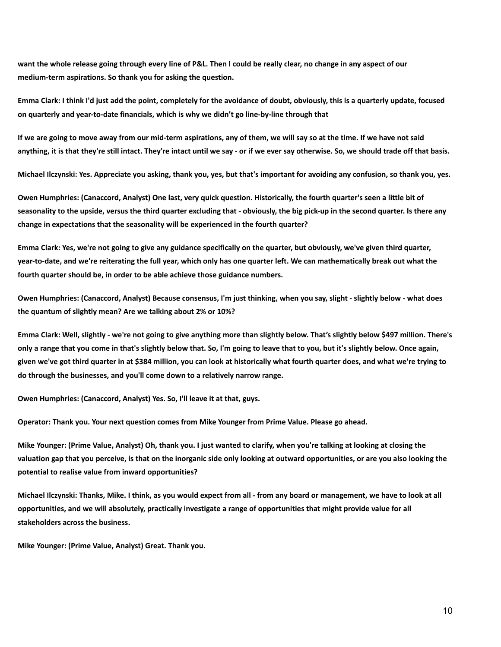want the whole release going through every line of P&L. Then I could be really clear, no change in any aspect of our **medium-term aspirations. So thank you for asking the question.**

Emma Clark: I think I'd just add the point, completely for the avoidance of doubt, obviously, this is a quarterly update, focused **on quarterly and year-to-date financials, which is why we didn't go line-by-line through that**

If we are going to move away from our mid-term aspirations, any of them, we will say so at the time. If we have not said anything, it is that they're still intact. They're intact until we say - or if we ever say otherwise. So, we should trade off that basis.

Michael Ilczynski: Yes. Appreciate you asking, thank you, yes, but that's important for avoiding any confusion, so thank you, yes.

Owen Humphries: (Canaccord, Analyst) One last, very quick question. Historically, the fourth quarter's seen a little bit of seasonality to the upside, versus the third quarter excluding that - obviously, the big pick-up in the second quarter. Is there any **change in expectations that the seasonality will be experienced in the fourth quarter?**

Emma Clark: Yes, we're not going to give any guidance specifically on the quarter, but obviously, we've given third quarter, year-to-date, and we're reiterating the full year, which only has one quarter left. We can mathematically break out what the **fourth quarter should be, in order to be able achieve those guidance numbers.**

Owen Humphries: (Canaccord, Analyst) Because consensus, I'm just thinking, when you say, slight - slightly below - what does **the quantum of slightly mean? Are we talking about 2% or 10%?**

Emma Clark: Well, slightly - we're not going to give anything more than slightly below. That's slightly below \$497 million. There's only a range that you come in that's slightly below that. So, I'm going to leave that to you, but it's slightly below. Once again, given we've got third quarter in at \$384 million, you can look at historically what fourth quarter does, and what we're trying to **do through the businesses, and you'll come down to a relatively narrow range.**

**Owen Humphries: (Canaccord, Analyst) Yes. So, I'll leave it at that, guys.**

**Operator: Thank you. Your next question comes from Mike Younger from Prime Value. Please go ahead.**

Mike Younger: (Prime Value, Analyst) Oh, thank you. I just wanted to clarify, when you're talking at looking at closing the valuation gap that you perceive, is that on the inorganic side only looking at outward opportunities, or are you also looking the **potential to realise value from inward opportunities?**

Michael Ilczynski: Thanks, Mike. I think, as you would expect from all - from any board or management, we have to look at all opportunities, and we will absolutely, practically investigate a range of opportunities that might provide value for all **stakeholders across the business.**

**Mike Younger: (Prime Value, Analyst) Great. Thank you.**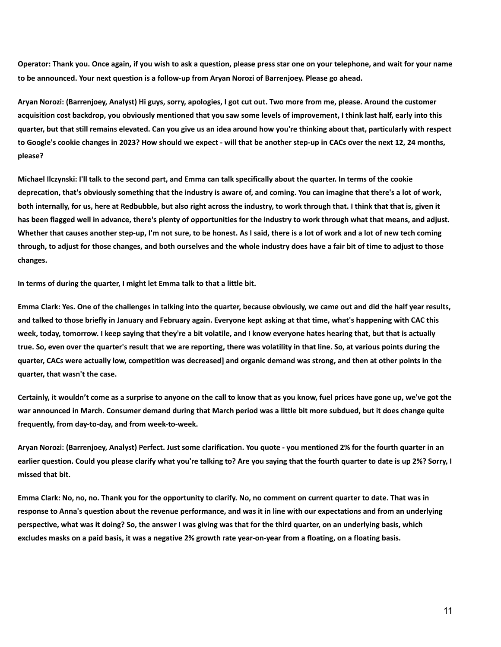Operator: Thank you. Once again, if you wish to ask a question, please press star one on your telephone, and wait for your name **to be announced. Your next question is a follow-up from Aryan Norozi of Barrenjoey. Please go ahead.**

Aryan Norozi: (Barrenjoey, Analyst) Hi guys, sorry, apologies, I got cut out. Two more from me, please. Around the customer acquisition cost backdrop, you obviously mentioned that you saw some levels of improvement, I think last half, early into this quarter, but that still remains elevated. Can you give us an idea around how you're thinking about that, particularly with respect to Google's cookie changes in 2023? How should we expect - will that be another step-up in CACs over the next 12, 24 months, **please?**

Michael Ilczynski: I'll talk to the second part, and Emma can talk specifically about the quarter. In terms of the cookie deprecation, that's obviously something that the industry is aware of, and coming. You can imagine that there's a lot of work, both internally, for us, here at Redbubble, but also right across the industry, to work through that. I think that that is, given it has been flagged well in advance, there's plenty of opportunities for the industry to work through what that means, and adjust. Whether that causes another step-up, I'm not sure, to be honest. As I said, there is a lot of work and a lot of new tech coming through, to adjust for those changes, and both ourselves and the whole industry does have a fair bit of time to adjust to those **changes.**

**In terms of during the quarter, I might let Emma talk to that a little bit.**

Emma Clark: Yes. One of the challenges in talking into the quarter, because obviously, we came out and did the half year results, and talked to those briefly in January and February again. Everyone kept asking at that time, what's happening with CAC this week, today, tomorrow. I keep saying that they're a bit volatile, and I know everyone hates hearing that, but that is actually true. So, even over the quarter's result that we are reporting, there was volatility in that line. So, at various points during the quarter, CACs were actually low, competition was decreased] and organic demand was strong, and then at other points in the **quarter, that wasn't the case.**

Certainly, it wouldn't come as a surprise to anyone on the call to know that as you know, fuel prices have gone up, we've got the war announced in March. Consumer demand during that March period was a little bit more subdued, but it does change quite **frequently, from day-to-day, and from week-to-week.**

Aryan Norozi: (Barrenjoey, Analyst) Perfect. Just some clarification. You quote - you mentioned 2% for the fourth quarter in an earlier question. Could you please clarify what you're talking to? Are you saying that the fourth quarter to date is up 2%? Sorry, I **missed that bit.**

Emma Clark: No, no, no. Thank you for the opportunity to clarify. No, no comment on current quarter to date. That was in response to Anna's question about the revenue performance, and was it in line with our expectations and from an underlying perspective, what was it doing? So, the answer I was giving was that for the third quarter, on an underlying basis, which excludes masks on a paid basis, it was a negative 2% growth rate year-on-year from a floating, on a floating basis.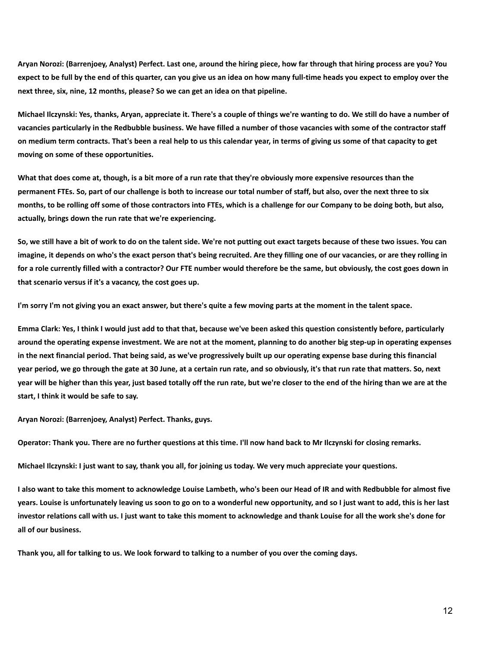Aryan Norozi: (Barrenjoey, Analyst) Perfect. Last one, around the hiring piece, how far through that hiring process are you? You expect to be full by the end of this quarter, can you give us an idea on how many full-time heads you expect to employ over the **next three, six, nine, 12 months, please? So we can get an idea on that pipeline.**

Michael Ilczynski: Yes, thanks, Aryan, appreciate it. There's a couple of things we're wanting to do. We still do have a number of vacancies particularly in the Redbubble business. We have filled a number of those vacancies with some of the contractor staff on medium term contracts. That's been a real help to us this calendar year, in terms of giving us some of that capacity to get **moving on some of these opportunities.**

What that does come at, though, is a bit more of a run rate that they're obviously more expensive resources than the permanent FTEs. So, part of our challenge is both to increase our total number of staff, but also, over the next three to six months, to be rolling off some of those contractors into FTEs, which is a challenge for our Company to be doing both, but also, **actually, brings down the run rate that we're experiencing.**

So, we still have a bit of work to do on the talent side. We're not putting out exact targets because of these two issues. You can imagine, it depends on who's the exact person that's being recruited. Are they filling one of our vacancies, or are they rolling in for a role currently filled with a contractor? Our FTE number would therefore be the same, but obviously, the cost goes down in **that scenario versus if it's a vacancy, the cost goes up.**

I'm sorry I'm not giving you an exact answer, but there's quite a few moving parts at the moment in the talent space.

Emma Clark: Yes, I think I would just add to that that, because we've been asked this question consistently before, particularly around the operating expense investment. We are not at the moment, planning to do another big step-up in operating expenses in the next financial period. That being said, as we've progressively built up our operating expense base during this financial year period, we go through the gate at 30 June, at a certain run rate, and so obviously, it's that run rate that matters. So, next year will be higher than this year, just based totally off the run rate, but we're closer to the end of the hiring than we are at the **start, I think it would be safe to say.**

**Aryan Norozi: (Barrenjoey, Analyst) Perfect. Thanks, guys.**

Operator: Thank you. There are no further questions at this time. I'll now hand back to Mr Ilczynski for closing remarks.

Michael Ilczynski: I just want to say, thank you all, for joining us today. We very much appreciate your questions.

I also want to take this moment to acknowledge Louise Lambeth, who's been our Head of IR and with Redbubble for almost five years. Louise is unfortunately leaving us soon to go on to a wonderful new opportunity, and so I just want to add, this is her last investor relations call with us. I just want to take this moment to acknowledge and thank Louise for all the work she's done for **all of our business.**

Thank you, all for talking to us. We look forward to talking to a number of you over the coming days.